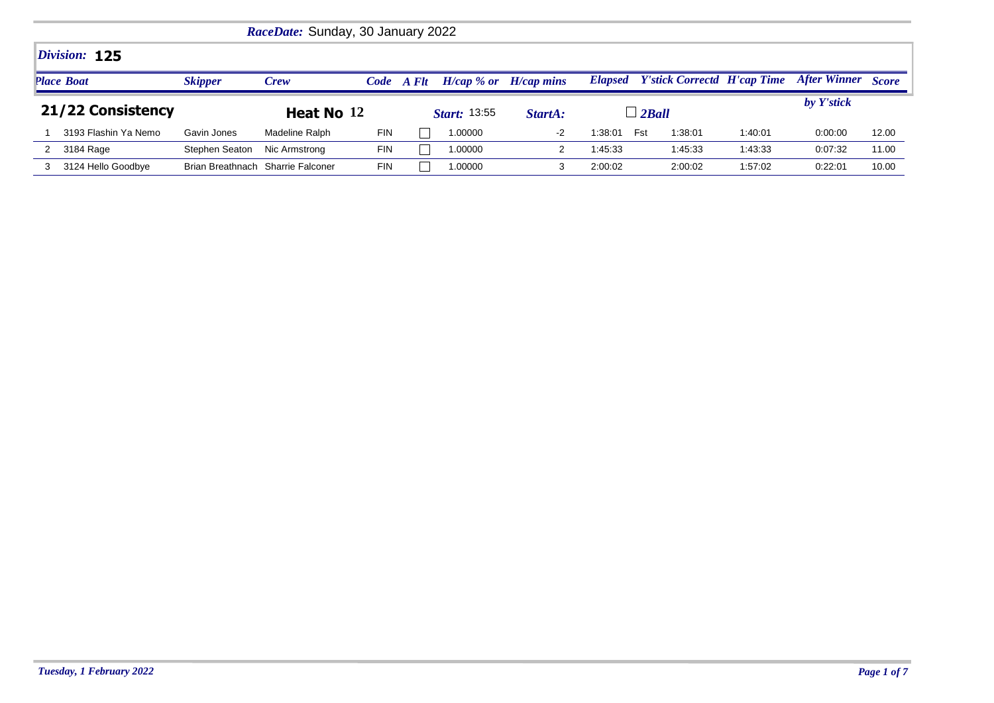|                   | RaceDate: Sunday, 30 January 2022 |                                   |                |            |       |                     |                           |                |                                    |         |                           |       |  |
|-------------------|-----------------------------------|-----------------------------------|----------------|------------|-------|---------------------|---------------------------|----------------|------------------------------------|---------|---------------------------|-------|--|
|                   | Division: 125                     |                                   |                |            |       |                     |                           |                |                                    |         |                           |       |  |
|                   | <b>Place Boat</b>                 | <b>Skipper</b>                    | Crew           | Code       | A Flt |                     | $H/cap$ % or $H/cap$ mins | <b>Elapsed</b> | <b>Y'stick Correctd H'cap Time</b> |         | <b>After Winner</b> Score |       |  |
| 21/22 Consistency |                                   |                                   | Heat No 12     |            |       | <i>Start:</i> 13:55 | StartA:                   |                | $\Box$ 2Ball                       |         | by Y'stick                |       |  |
|                   | 3193 Flashin Ya Nemo              | Gavin Jones                       | Madeline Ralph | <b>FIN</b> |       | 1.00000             | -2                        | 1:38:01        | Fst<br>1:38:01                     | 1:40:01 | 0:00:00                   | 12.00 |  |
|                   | 3184 Rage                         | Stephen Seaton                    | Nic Armstrong  | <b>FIN</b> |       | 1.00000             |                           | 1:45:33        | 1:45:33                            | 1:43:33 | 0:07:32                   | 11.00 |  |
|                   | 3124 Hello Goodbye                | Brian Breathnach Sharrie Falconer |                | <b>FIN</b> |       | 1.00000             |                           | 2:00:02        | 2:00:02                            | 1:57:02 | 0:22:01                   | 10.00 |  |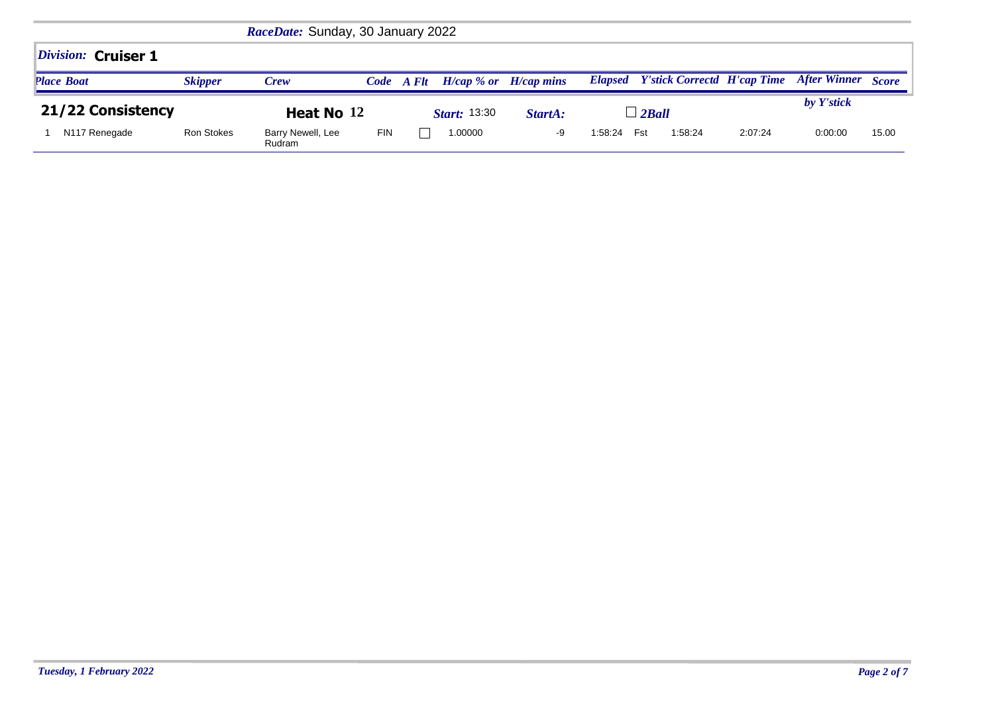|                           | RaceDate: Sunday, 30 January 2022 |                             |            |                     |                           |    |                |                                            |            |                    |       |  |
|---------------------------|-----------------------------------|-----------------------------|------------|---------------------|---------------------------|----|----------------|--------------------------------------------|------------|--------------------|-------|--|
| Division: Cruiser 1       |                                   |                             |            |                     |                           |    |                |                                            |            |                    |       |  |
| <b>Place Boat</b>         | <b>Skipper</b>                    | <b>Crew</b>                 |            | Code A Flt          | $H/cap$ % or $H/cap$ mins |    |                | <b>Elapsed</b> Y'stick Correctd H'cap Time |            | After Winner Score |       |  |
| 21/22 Consistency         | Heat No 12                        |                             |            | <i>Start:</i> 13:30 | StartA:                   |    | $\perp$ 2 Ball |                                            | by Y'stick |                    |       |  |
| N <sub>117</sub> Renegade | Ron Stokes                        | Barry Newell, Lee<br>Rudram | <b>FIN</b> |                     | 1.00000                   | -9 | 1:58:24        | Fst<br>1:58:24                             | 2:07:24    | 0:00:00            | 15.00 |  |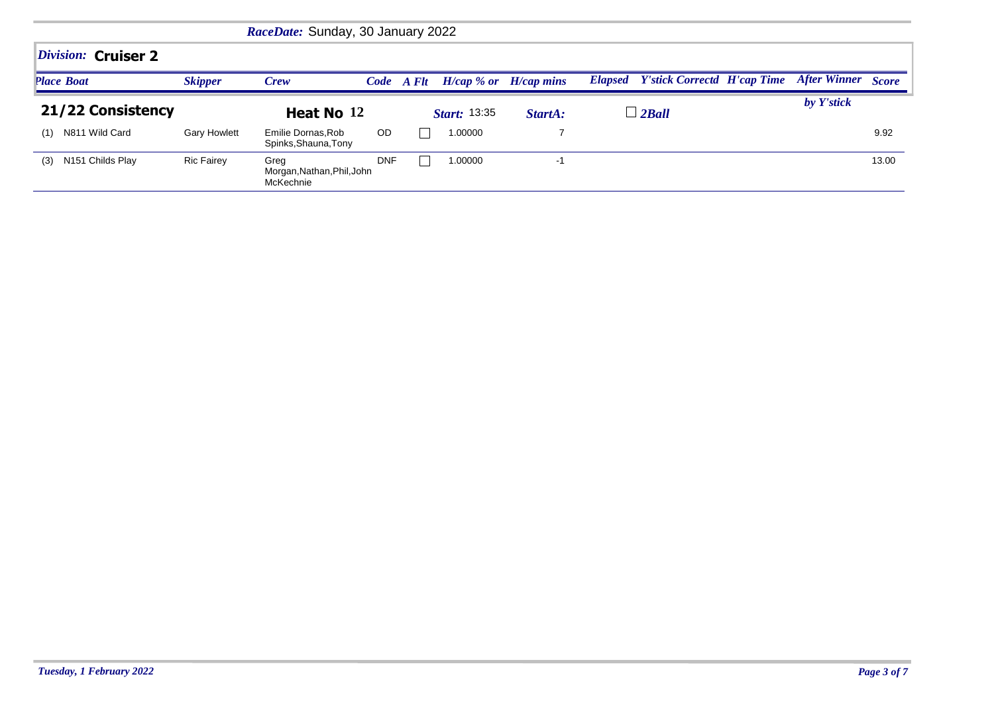| RaceDate: Sunday, 30 January 2022 |                     |                                                 |            |                     |         |                           |                                            |            |                           |       |  |  |  |
|-----------------------------------|---------------------|-------------------------------------------------|------------|---------------------|---------|---------------------------|--------------------------------------------|------------|---------------------------|-------|--|--|--|
| Division: Cruiser 2               |                     |                                                 |            |                     |         |                           |                                            |            |                           |       |  |  |  |
| <b>Place Boat</b>                 | <b>Skipper</b>      | Crew                                            |            | Code A Flt          |         | $H/cap$ % or $H/cap$ mins | <b>Elapsed</b> Y'stick Correctd H'cap Time |            | <b>After Winner</b> Score |       |  |  |  |
| 21/22 Consistency                 | Heat No 12          |                                                 |            | <b>Start: 13:35</b> | StartA: | $\perp$ 2 Ball            |                                            | by Y'stick |                           |       |  |  |  |
| N811 Wild Card<br>(1)             | <b>Gary Howlett</b> | Emilie Dornas, Rob<br>Spinks, Shauna, Tony      | <b>OD</b>  |                     | 1.00000 |                           |                                            |            |                           | 9.92  |  |  |  |
| (3) N151 Childs Play              | <b>Ric Fairey</b>   | Greg<br>Morgan, Nathan, Phil, John<br>McKechnie | <b>DNF</b> |                     | 1.00000 | -1                        |                                            |            |                           | 13.00 |  |  |  |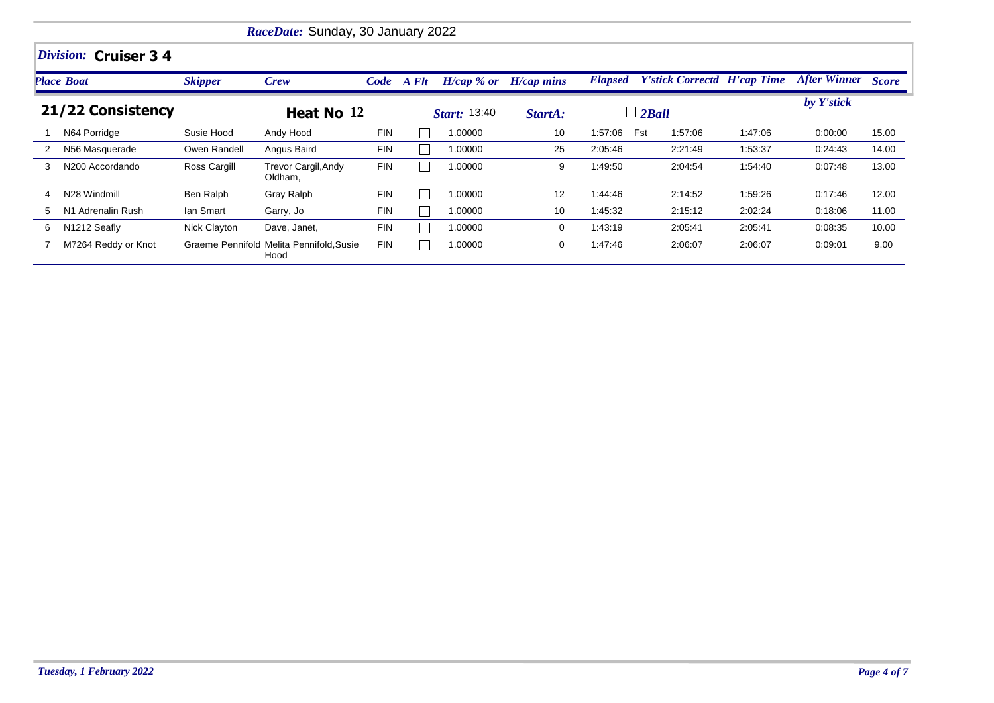|                   | RaceDate: Sunday, 30 January 2022 |                |                                                  |            |                     |                 |              |              |                                            |         |                           |       |  |  |
|-------------------|-----------------------------------|----------------|--------------------------------------------------|------------|---------------------|-----------------|--------------|--------------|--------------------------------------------|---------|---------------------------|-------|--|--|
|                   | Division: Cruiser 3 4             |                |                                                  |            |                     |                 |              |              |                                            |         |                           |       |  |  |
|                   | <b>Place Boat</b>                 | <b>Skipper</b> | Crew                                             | Code A Flt |                     | $H/cap \, %$ or | $H/cap$ mins |              | <b>Elapsed</b> Y'stick Correctd H'cap Time |         | <b>After Winner Score</b> |       |  |  |
| 21/22 Consistency |                                   |                | Heat No 12                                       |            | <b>Start:</b> 13:40 |                 | StartA:      | $\Box$ 2Ball |                                            |         | by Y'stick                |       |  |  |
|                   | N64 Porridge                      | Susie Hood     | Andy Hood                                        | <b>FIN</b> |                     | 1.00000         | 10           | 1:57:06      | Fst<br>1:57:06                             | 1:47:06 | 0:00:00                   | 15.00 |  |  |
|                   | N56 Masquerade                    | Owen Randell   | Angus Baird                                      | <b>FIN</b> |                     | 1.00000         | 25           | 2:05:46      | 2:21:49                                    | 1:53:37 | 0:24:43                   | 14.00 |  |  |
| 3                 | N200 Accordando                   | Ross Cargill   | <b>Trevor Cargil, Andy</b><br>Oldham,            | <b>FIN</b> |                     | 1.00000         | 9            | 1:49:50      | 2:04:54                                    | 1:54:40 | 0:07:48                   | 13.00 |  |  |
| 4                 | N28 Windmill                      | Ben Ralph      | Gray Ralph                                       | <b>FIN</b> |                     | 1.00000         | 12           | 1:44:46      | 2:14:52                                    | 1:59:26 | 0:17:46                   | 12.00 |  |  |
| 5                 | N1 Adrenalin Rush                 | lan Smart      | Garry, Jo                                        | <b>FIN</b> |                     | 1.00000         | 10           | 1:45:32      | 2:15:12                                    | 2:02:24 | 0:18.06                   | 11.00 |  |  |
| 6                 | N1212 Seafly                      | Nick Clayton   | Dave, Janet,                                     | <b>FIN</b> |                     | 1.00000         | 0            | 1:43:19      | 2:05:41                                    | 2:05:41 | 0:08:35                   | 10.00 |  |  |
|                   | M7264 Reddy or Knot               |                | Graeme Pennifold Melita Pennifold, Susie<br>Hood | <b>FIN</b> |                     | 1.00000         | 0            | 1:47:46      | 2:06:07                                    | 2:06:07 | 0:09:01                   | 9.00  |  |  |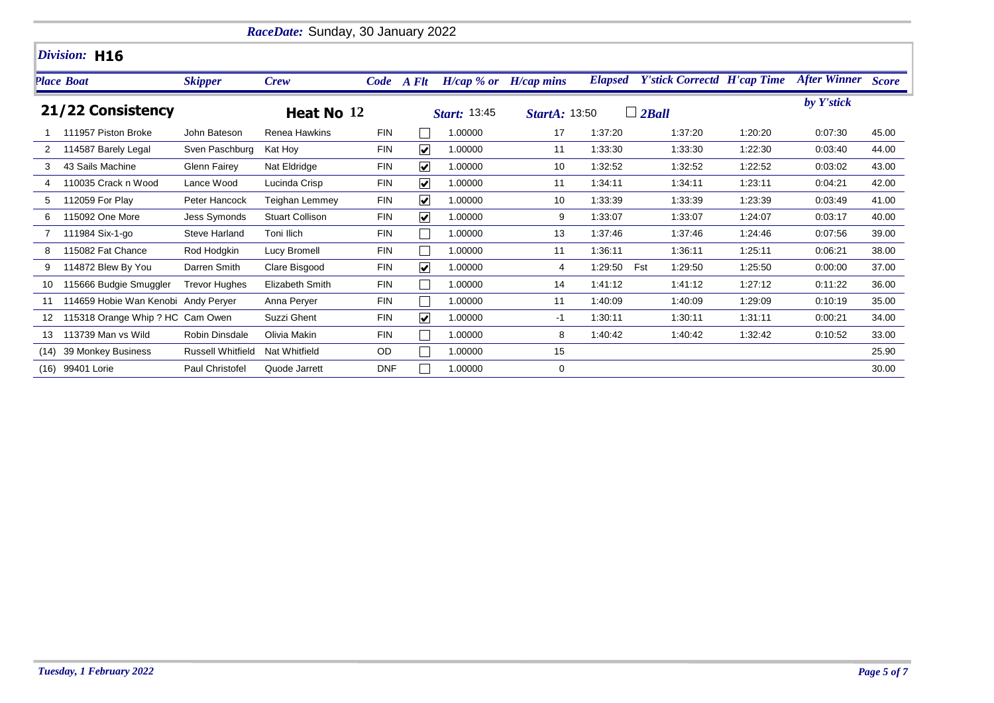|      | RaceDate: Sunday, 30 January 2022   |                          |                        |            |                         |                           |                      |                |                                    |         |                    |       |  |  |
|------|-------------------------------------|--------------------------|------------------------|------------|-------------------------|---------------------------|----------------------|----------------|------------------------------------|---------|--------------------|-------|--|--|
|      | Division: H16                       |                          |                        |            |                         |                           |                      |                |                                    |         |                    |       |  |  |
|      | <b>Place Boat</b>                   | <b>Skipper</b>           | <b>Crew</b>            |            | Code A Flt              | $H/cap$ % or $H/cap$ mins |                      | <b>Elapsed</b> | <b>Y'stick Correctd H'cap Time</b> |         | After Winner Score |       |  |  |
|      | 21/22 Consistency                   |                          | Heat No 12             |            |                         | Start: 13:45              | <b>StartA: 13:50</b> |                | $\Box$ 2Ball                       |         | by Y'stick         |       |  |  |
|      | 111957 Piston Broke                 | John Bateson             | Renea Hawkins          | <b>FIN</b> | $\mathbf{I}$            | 1.00000                   | 17                   | 1:37:20        | 1:37:20                            | 1:20:20 | 0:07:30            | 45.00 |  |  |
| 2    | 114587 Barely Legal                 | Sven Paschburg           | Kat Hoy                | <b>FIN</b> | $\overline{\mathbf{v}}$ | 1.00000                   | 11                   | 1:33:30        | 1:33:30                            | 1:22:30 | 0.03:40            | 44.00 |  |  |
| 3    | 43 Sails Machine                    | <b>Glenn Fairey</b>      | Nat Eldridge           | <b>FIN</b> | $\blacktriangledown$    | 1.00000                   | 10                   | 1:32:52        | 1:32:52                            | 1:22:52 | 0:03:02            | 43.00 |  |  |
|      | 110035 Crack n Wood                 | Lance Wood               | Lucinda Crisp          | <b>FIN</b> | $\blacktriangledown$    | 1.00000                   | 11                   | 1:34:11        | 1:34:11                            | 1:23:11 | 0:04:21            | 42.00 |  |  |
| 5    | 112059 For Play                     | Peter Hancock            | Teighan Lemmey         | <b>FIN</b> | $\overline{\mathbf{v}}$ | 1.00000                   | 10                   | 1:33:39        | 1:33:39                            | 1:23:39 | 0:03:49            | 41.00 |  |  |
|      | 115092 One More                     | Jess Symonds             | <b>Stuart Collison</b> | <b>FIN</b> | $\overline{\mathbf{v}}$ | 1.00000                   | 9                    | 1.33.07        | 1:33:07                            | 1:24:07 | 0:03:17            | 40.00 |  |  |
|      | 111984 Six-1-go                     | Steve Harland            | Toni Ilich             | <b>FIN</b> |                         | 1.00000                   | 13                   | 1:37:46        | 1:37:46                            | 1:24:46 | 0:07:56            | 39.00 |  |  |
| 8    | 115082 Fat Chance                   | Rod Hodgkin              | Lucy Bromell           | <b>FIN</b> | $\mathbf{I}$            | 1.00000                   | 11                   | 1:36:11        | 1:36:11                            | 1:25:11 | 0:06:21            | 38.00 |  |  |
| 9    | 114872 Blew By You                  | Darren Smith             | Clare Bisgood          | <b>FIN</b> | $\blacktriangledown$    | 1.00000                   | 4                    | 1:29:50        | Fst<br>1:29:50                     | 1:25:50 | 0:00:00            | 37.00 |  |  |
| 10   | 115666 Budgie Smuggler              | <b>Trevor Hughes</b>     | Elizabeth Smith        | <b>FIN</b> | $\mathbf{I}$            | 1.00000                   | 14                   | 1:41:12        | 1:41:12                            | 1:27:12 | 0:11:22            | 36.00 |  |  |
| 11   | 114659 Hobie Wan Kenobi Andy Peryer |                          | Anna Perver            | <b>FIN</b> | $\mathbf{I}$            | 1.00000                   | 11                   | 1:40:09        | 1:40:09                            | 1:29:09 | 0:10:19            | 35.00 |  |  |
| 12   | 115318 Orange Whip ? HC Cam Owen    |                          | Suzzi Ghent            | <b>FIN</b> | $\blacktriangledown$    | 1.00000                   | -1                   | 1:30:11        | 1:30:11                            | 1:31:11 | 0:00:21            | 34.00 |  |  |
| 13   | 113739 Man vs Wild                  | <b>Robin Dinsdale</b>    | Olivia Makin           | <b>FIN</b> |                         | 1.00000                   | 8                    | 1:40:42        | 1:40:42                            | 1:32:42 | 0:10:52            | 33.00 |  |  |
| (14) | 39 Monkey Business                  | <b>Russell Whitfield</b> | Nat Whitfield          | OD         |                         | 1.00000                   | 15                   |                |                                    |         |                    | 25.90 |  |  |
| (16) | 99401 Lorie                         | Paul Christofel          | Quode Jarrett          | <b>DNF</b> |                         | 1.00000                   | 0                    |                |                                    |         |                    | 30.00 |  |  |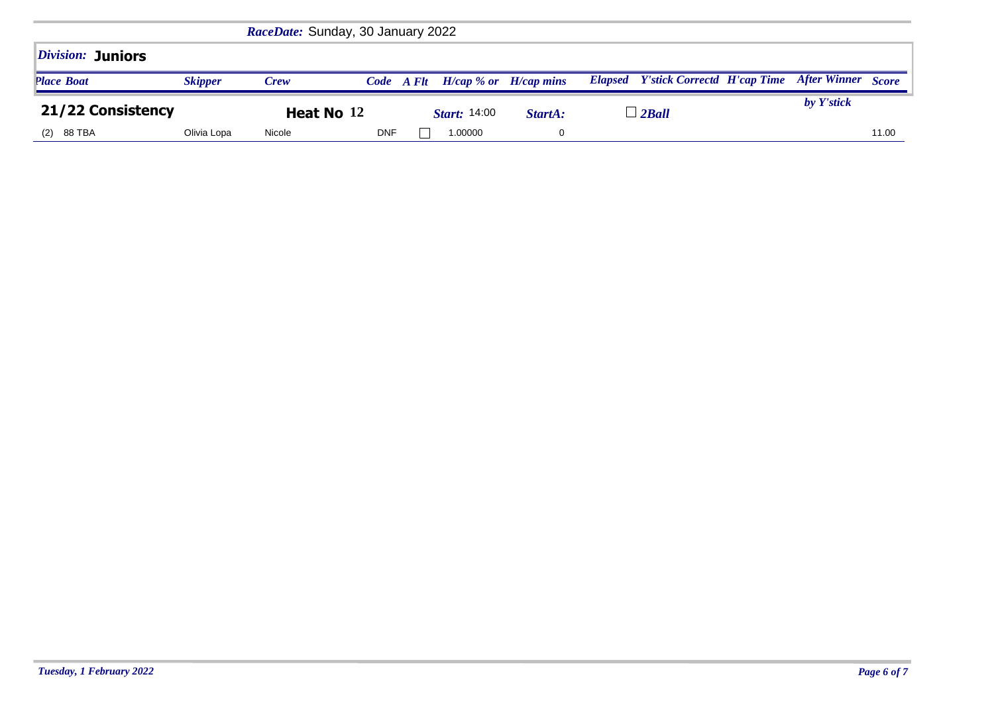| <i><b>Division: Juniors</b></i> |                |        |                     |                           |                                 |                                                               |  |       |
|---------------------------------|----------------|--------|---------------------|---------------------------|---------------------------------|---------------------------------------------------------------|--|-------|
| <b>Place Boat</b>               | <b>Skipper</b> | Crew   | Code A Flt          | $H/cap$ % or $H/cap$ mins |                                 | <b>Elapsed</b> Y'stick Correctd H'cap Time After Winner Score |  |       |
| 21/22 Consistency               | Heat No 12     |        | <b>Start:</b> 14:00 | StartA:                   | $\overline{\phantom{a}}$ 2 Ball | by Y'stick                                                    |  |       |
| Olivia Lopa<br>(2) 88 TBA       |                | Nicole | <b>DNF</b>          | 1.00000                   |                                 |                                                               |  | 11.00 |